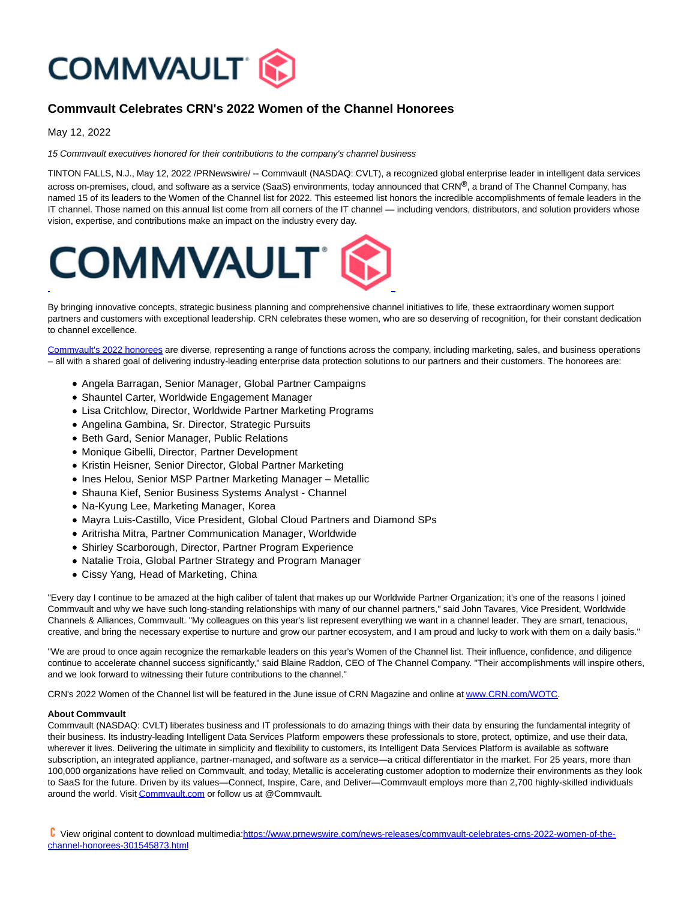

## **Commvault Celebrates CRN's 2022 Women of the Channel Honorees**

May 12, 2022

15 Commvault executives honored for their contributions to the company's channel business

TINTON FALLS, N.J., May 12, 2022 /PRNewswire/ -- Commvault (NASDAQ: CVLT), a recognized global enterprise leader in intelligent data services across on-premises, cloud, and software as a service (SaaS) environments, today announced that CRN**®**, a brand of The Channel Company, has named 15 of its leaders to the Women of the Channel list for 2022. This esteemed list honors the incredible accomplishments of female leaders in the IT channel. Those named on this annual list come from all corners of the IT channel — including vendors, distributors, and solution providers whose vision, expertise, and contributions make an impact on the industry every day.



By bringing innovative concepts, strategic business planning and comprehensive channel initiatives to life, these extraordinary women support partners and customers with exceptional leadership. CRN celebrates these women, who are so deserving of recognition, for their constant dedication to channel excellence.

[Commvault's 2022 honorees a](https://c212.net/c/link/?t=0&l=en&o=3534408-1&h=3298162687&u=https%3A%2F%2Fwww.crn.com%2Frankings-and-lists%2Fwotc2022.htm%3Fst1%3D2%26st2%3DCommvault%23searchresults%26itc%3Drefresh&a=Commvault%27s+2022+honorees)re diverse, representing a range of functions across the company, including marketing, sales, and business operations – all with a shared goal of delivering industry-leading enterprise data protection solutions to our partners and their customers. The honorees are:

- Angela Barragan, Senior Manager, Global Partner Campaigns
- Shauntel Carter, Worldwide Engagement Manager
- Lisa Critchlow, Director, Worldwide Partner Marketing Programs
- Angelina Gambina, Sr. Director, Strategic Pursuits
- Beth Gard, Senior Manager, Public Relations
- Monique Gibelli, Director, Partner Development
- Kristin Heisner, Senior Director, Global Partner Marketing
- Ines Helou, Senior MSP Partner Marketing Manager Metallic
- Shauna Kief, Senior Business Systems Analyst Channel
- Na-Kyung Lee, Marketing Manager, Korea
- Mayra Luis-Castillo, Vice President, Global Cloud Partners and Diamond SPs
- Aritrisha Mitra, Partner Communication Manager, Worldwide
- Shirley Scarborough, Director, Partner Program Experience
- Natalie Troia, Global Partner Strategy and Program Manager
- Cissy Yang, Head of Marketing, China

"Every day I continue to be amazed at the high caliber of talent that makes up our Worldwide Partner Organization; it's one of the reasons I joined Commvault and why we have such long-standing relationships with many of our channel partners," said John Tavares, Vice President, Worldwide Channels & Alliances, Commvault. "My colleagues on this year's list represent everything we want in a channel leader. They are smart, tenacious, creative, and bring the necessary expertise to nurture and grow our partner ecosystem, and I am proud and lucky to work with them on a daily basis."

"We are proud to once again recognize the remarkable leaders on this year's Women of the Channel list. Their influence, confidence, and diligence continue to accelerate channel success significantly," said Blaine Raddon, CEO of The Channel Company. "Their accomplishments will inspire others, and we look forward to witnessing their future contributions to the channel."

CRN's 2022 Women of the Channel list will be featured in the June issue of CRN Magazine and online a[t www.CRN.com/WOTC.](https://c212.net/c/link/?t=0&l=en&o=3534408-1&h=2886294650&u=http%3A%2F%2Fwww.crn.com%2FWOTC&a=www.CRN.com%2FWOTC)

## **About Commvault**

Commvault (NASDAQ: CVLT) liberates business and IT professionals to do amazing things with their data by ensuring the fundamental integrity of their business. Its industry-leading Intelligent Data Services Platform empowers these professionals to store, protect, optimize, and use their data, wherever it lives. Delivering the ultimate in simplicity and flexibility to customers, its Intelligent Data Services Platform is available as software subscription, an integrated appliance, partner-managed, and software as a service—a critical differentiator in the market. For 25 years, more than 100,000 organizations have relied on Commvault, and today, Metallic is accelerating customer adoption to modernize their environments as they look to SaaS for the future. Driven by its values—Connect, Inspire, Care, and Deliver—Commvault employs more than 2,700 highly-skilled individuals around the world. Visi[t Commvault.com o](https://c212.net/c/link/?t=0&l=en&o=3534408-1&h=1909932170&u=https%3A%2F%2Fwww.commvault.com%2F&a=Commvault.com)r follow us at @Commvault.